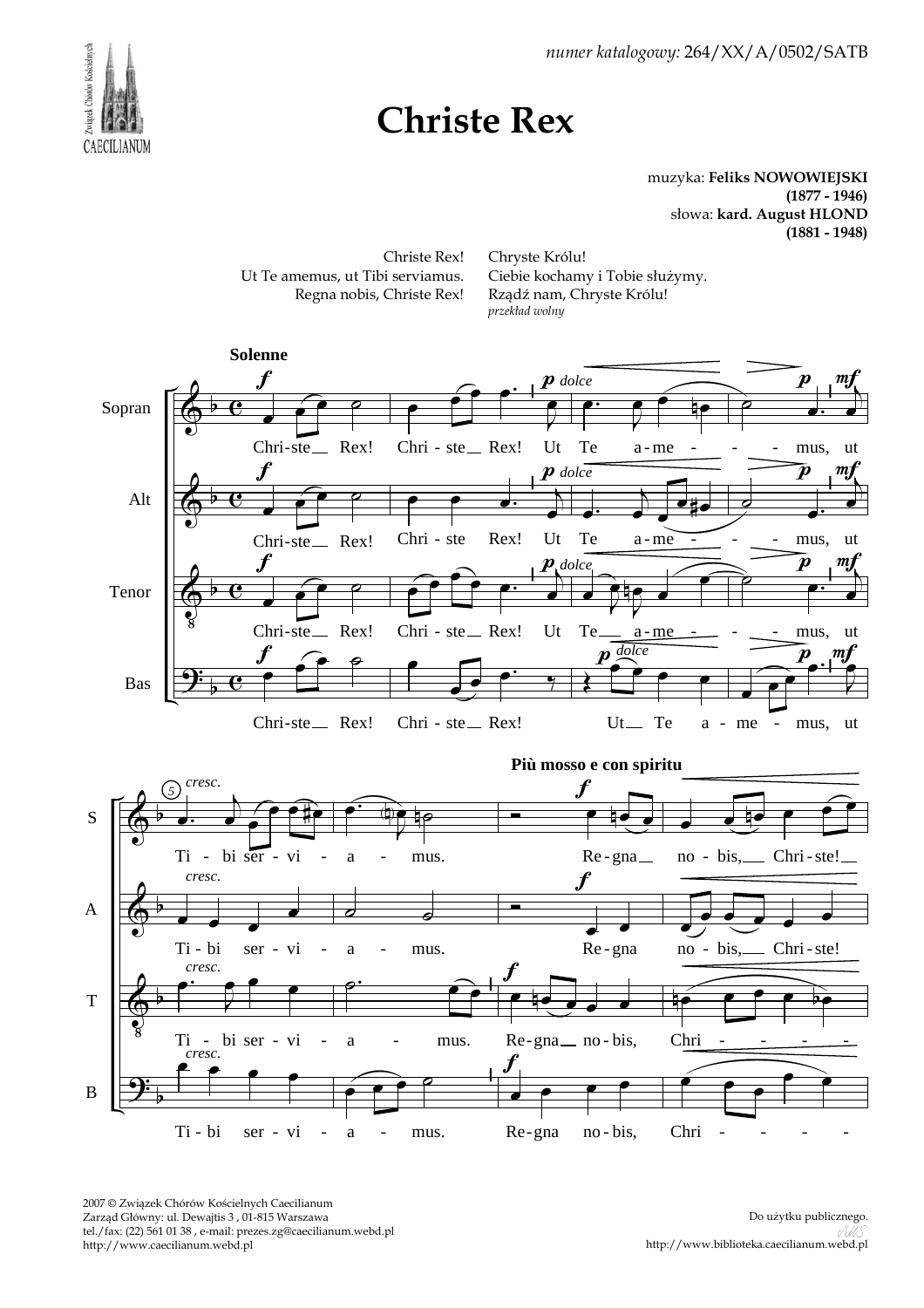

*numer katalogowy:* 264/XX/A/0502/SATB

## **Christe Rex**

muzyka: **Feliks NOWOWIEJSKI (1877 - 1946)** słowa: **kard. August HLOND (1881 - 1948)**



2007 © Związek Chórów Kościelnych Caecilianum Zarząd Główny: ul. Dewajtis 3 , 01-815 Warszawa tel./fax: (22) 561 01 38 , e-mail: prezes.zg@caecilianum.webd.pl http://www.caecilianum.webd.pl